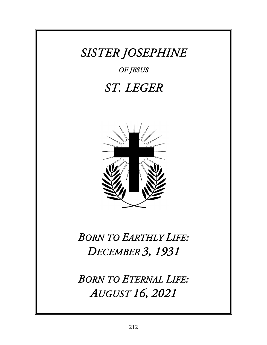## *SISTER JOSEPHINE*

*OF JESUS* 

## *ST. LEGER*



## *BORN TO EARTHLY LIFE: DECEMBER 3, 1931*

*BORN TO ETERNAL LIFE: AUGUST 16, 2021*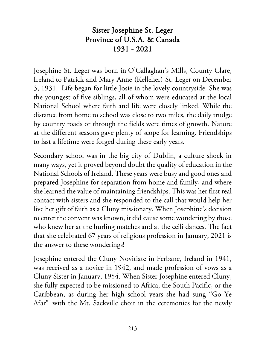## Sister Josephine St. Leger Province of U.S.A. & Canada 1931 - 2021

Josephine St. Leger was born in O'Callaghan's Mills, County Clare, Ireland to Patrick and Mary Anne (Kelleher) St. Leger on December 3, 1931. Life began for little Josie in the lovely countryside. She was the youngest of five siblings, all of whom were educated at the local National School where faith and life were closely linked. While the distance from home to school was close to two miles, the daily trudge by country roads or through the fields were times of growth. Nature at the different seasons gave plenty of scope for learning. Friendships to last a lifetime were forged during these early years.

Secondary school was in the big city of Dublin, a culture shock in many ways, yet it proved beyond doubt the quality of education in the National Schools of Ireland. These years were busy and good ones and prepared Josephine for separation from home and family, and where she learned the value of maintaining friendships. This was her first real contact with sisters and she responded to the call that would help her live her gift of faith as a Cluny missionary. When Josephine's decision to enter the convent was known, it did cause some wondering by those who knew her at the hurling matches and at the ceili dances. The fact that she celebrated 67 years of religious profession in January, 2021 is the answer to these wonderings!

Josephine entered the Cluny Novitiate in Ferbane, Ireland in 1941, was received as a novice in 1942, and made profession of vows as a Cluny Sister in January, 1954. When Sister Josephine entered Cluny, she fully expected to be missioned to Africa, the South Pacific, or the Caribbean, as during her high school years she had sung "Go Ye Afar" with the Mt. Sackville choir in the ceremonies for the newly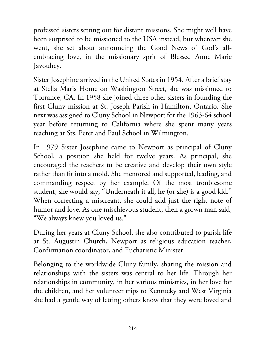professed sisters setting out for distant missions. She might well have been surprised to be missioned to the USA instead, but wherever she went, she set about announcing the Good News of God's allembracing love, in the missionary sprit of Blessed Anne Marie Javouhey.

Sister Josephine arrived in the United States in 1954. After a brief stay at Stella Maris Home on Washington Street, she was missioned to Torrance, CA. In 1958 she joined three other sisters in founding the first Cluny mission at St. Joseph Parish in Hamilton, Ontario. She next was assigned to Cluny School in Newport for the 1963-64 school year before returning to California where she spent many years teaching at Sts. Peter and Paul School in Wilmington.

In 1979 Sister Josephine came to Newport as principal of Cluny School, a position she held for twelve years. As principal, she encouraged the teachers to be creative and develop their own style rather than fit into a mold. She mentored and supported, leading, and commanding respect by her example. Of the most troublesome student, she would say, "Underneath it all, he (or she) is a good kid." When correcting a miscreant, she could add just the right note of humor and love. As one mischievous student, then a grown man said, "We always knew you loved us."

During her years at Cluny School, she also contributed to parish life at St. Augustin Church, Newport as religious education teacher, Confirmation coordinator, and Eucharistic Minister.

Belonging to the worldwide Cluny family, sharing the mission and relationships with the sisters was central to her life. Through her relationships in community, in her various ministries, in her love for the children, and her volunteer trips to Kentucky and West Virginia she had a gentle way of letting others know that they were loved and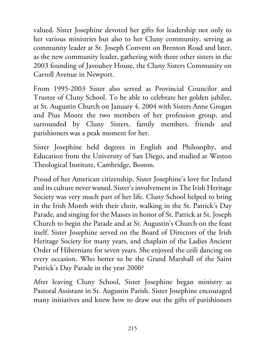valued. Sister Josephine devoted her gifts for leadership not only to her various ministries but also to her Cluny community, serving as community leader at St. Joseph Convent on Brenton Road and later, as the new community leader, gathering with three other sisters in the 2003 founding of Javouhey House, the Cluny Sisters Community on Carroll Avenue in Newport.

From 1995-2003 Sister also served as Provincial Councilor and Trustee of Cluny School. To be able to celebrate her golden jubilee, at St. Augustin Church on January 4, 2004 with Sisters Anne Grogan and Pius Moore the two members of her profession group, and surrounded by Cluny Sisters, family members, friends and parishioners was a peak moment for her.

Sister Josephine held degrees in English and Philosophy, and Education from the University of San Diego, and studied at Weston Theological Institute, Cambridge, Boston.

Proud of her American citizenship, Sister Josephine's love for Ireland and its culture never waned. Sister's involvement in The Irish Heritage Society was very much part of her life. Cluny School helped to bring in the Irish Month with their choir, walking in the St. Patrick's Day Parade, and singing for the Masses in honor of St. Patrick at St. Joseph Church to begin the Parade and at St. Augustin's Church on the feast itself. Sister Josephine served on the Board of Directors of the Irish Heritage Society for many years, and chaplain of the Ladies Ancient Order of Hibernians for seven years. She enjoyed the ceili dancing on every occasion. Who better to be the Grand Marshall of the Saint Patrick's Day Parade in the year 2000?

After leaving Cluny School, Sister Josephine began ministry as Pastoral Assistant in St. Augustin Parish. Sister Josephine encouraged many initiatives and knew how to draw out the gifts of parishioners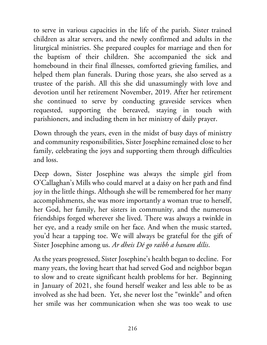to serve in various capacities in the life of the parish. Sister trained children as altar servers, and the newly confirmed and adults in the liturgical ministries. She prepared couples for marriage and then for the baptism of their children. She accompanied the sick and homebound in their final illnesses, comforted grieving families, and helped them plan funerals. During those years, she also served as a trustee of the parish. All this she did unassumingly with love and devotion until her retirement November, 2019. After her retirement she continued to serve by conducting graveside services when requested, supporting the bereaved, staying in touch with parishioners, and including them in her ministry of daily prayer.

Down through the years, even in the midst of busy days of ministry and community responsibilities, Sister Josephine remained close to her family, celebrating the joys and supporting them through difficulties and loss.

Deep down, Sister Josephine was always the simple girl from O'Callaghan's Mills who could marvel at a daisy on her path and find joy in the little things. Although she will be remembered for her many accomplishments, she was more importantly a woman true to herself, her God, her family, her sisters in community, and the numerous friendships forged wherever she lived. There was always a twinkle in her eye, and a ready smile on her face. And when the music started, you'd hear a tapping toe. We will always be grateful for the gift of Sister Josephine among us. *Ar dheis Dé go raibh a hanam dílis*.

As the years progressed, Sister Josephine's health began to decline. For many years, the loving heart that had served God and neighbor began to slow and to create significant health problems for her. Beginning in January of 2021, she found herself weaker and less able to be as involved as she had been. Yet, she never lost the "twinkle" and often her smile was her communication when she was too weak to use